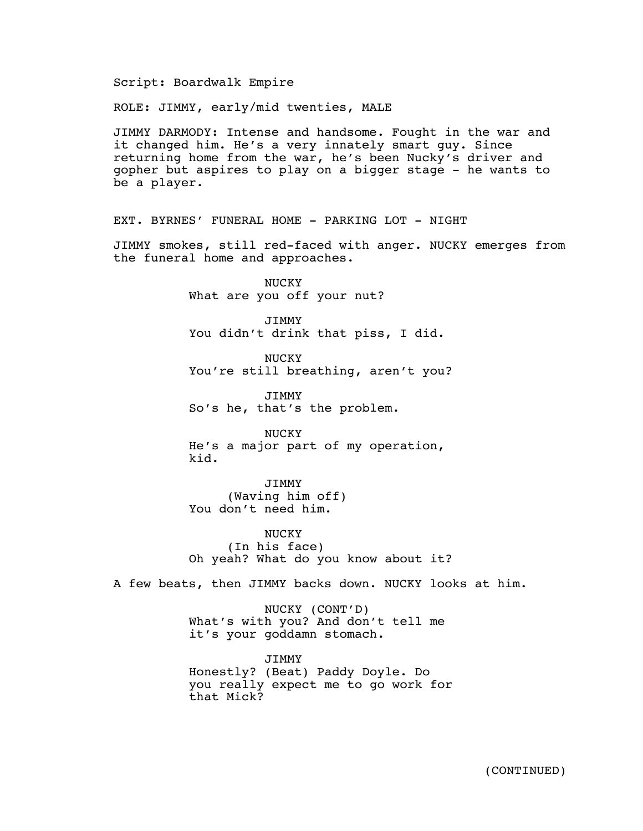Script: Boardwalk Empire

ROLE: JIMMY, early/mid twenties, MALE

JIMMY DARMODY: Intense and handsome. Fought in the war and it changed him. He's a very innately smart guy. Since returning home from the war, he's been Nucky's driver and gopher but aspires to play on a bigger stage - he wants to be a player.

EXT. BYRNES' FUNERAL HOME - PARKING LOT - NIGHT

JIMMY smokes, still red-faced with anger. NUCKY emerges from the funeral home and approaches.

> NUCKY What are you off your nut?

JIMMY You didn't drink that piss, I did.

NUCKY You're still breathing, aren't you?

JIMMY So's he, that's the problem.

NUCKY He's a major part of my operation, kid.

JIMMY (Waving him off) You don't need him.

NUCKY (In his face) Oh yeah? What do you know about it?

A few beats, then JIMMY backs down. NUCKY looks at him.

NUCKY (CONT'D) What's with you? And don't tell me it's your goddamn stomach.

JIMMY Honestly? (Beat) Paddy Doyle. Do you really expect me to go work for that Mick?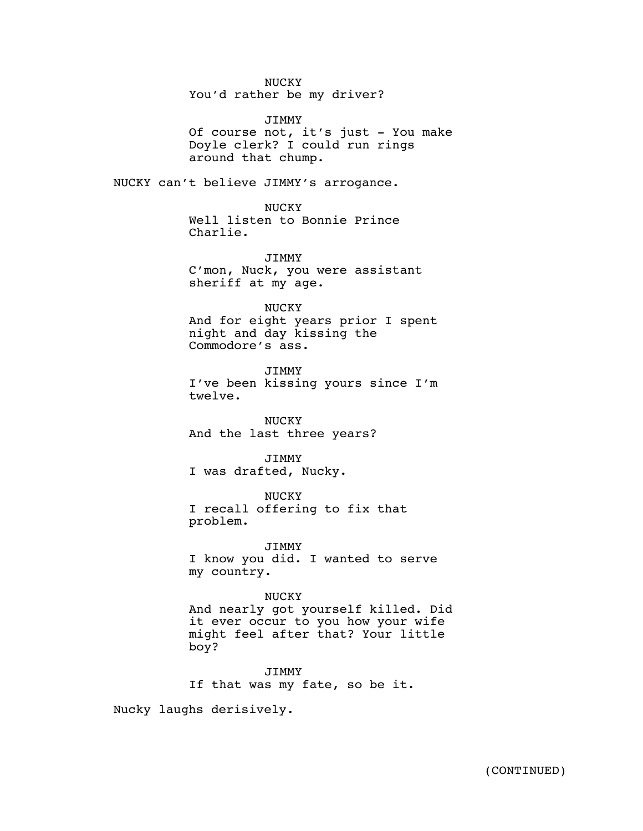# NUCKY

You'd rather be my driver?

#### **JTMMY**

Of course not, it's just - You make Doyle clerk? I could run rings around that chump.

NUCKY can't believe JIMMY's arrogance.

NUCKY Well listen to Bonnie Prince Charlie.

JIMMY C'mon, Nuck, you were assistant sheriff at my age.

### NUCKY

And for eight years prior I spent night and day kissing the Commodore's ass.

JIMMY I've been kissing yours since I'm twelve.

NUCKY And the last three years?

#### JIMMY

I was drafted, Nucky.

### NUCKY

I recall offering to fix that problem.

JIMMY I know you did. I wanted to serve my country.

## NUCKY

And nearly got yourself killed. Did it ever occur to you how your wife might feel after that? Your little boy?

JIMMY If that was my fate, so be it.

Nucky laughs derisively.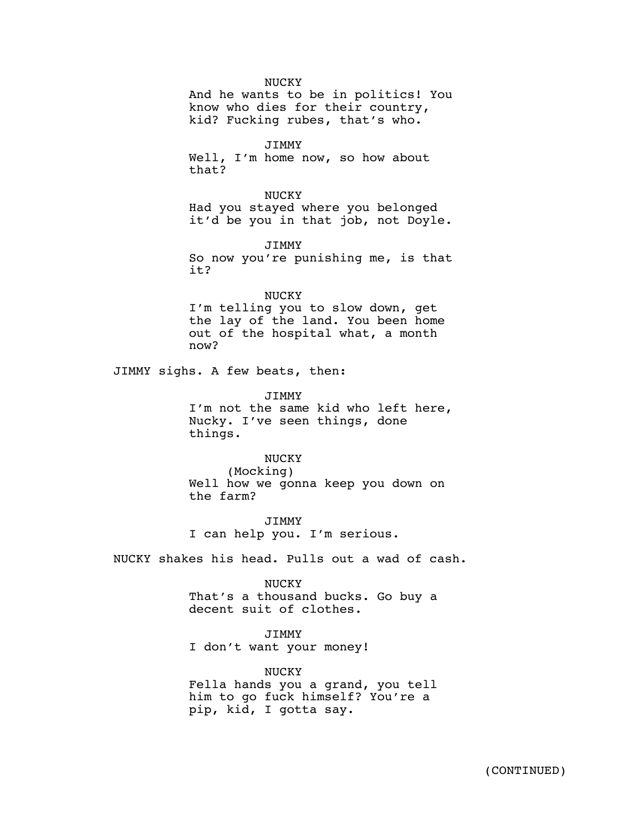NUCKY

And he wants to be in politics! You know who dies for their country, kid? Fucking rubes, that's who.

JIMMY Well, I'm home now, so how about that?

NUCKY Had you stayed where you belonged it'd be you in that job, not Doyle.

JIMMY So now you're punishing me, is that it?

#### NUCKY

I'm telling you to slow down, get the lay of the land. You been home out of the hospital what, a month now?

JIMMY sighs. A few beats, then:

JIMMY

I'm not the same kid who left here, Nucky. I've seen things, done things.

## NUCKY

(Mocking) Well how we gonna keep you down on the farm?

JIMMY I can help you. I'm serious.

NUCKY shakes his head. Pulls out a wad of cash.

#### NUCKY

That's a thousand bucks. Go buy a decent suit of clothes.

## JIMMY

I don't want your money!

#### NUCKY

Fella hands you a grand, you tell him to go fuck himself? You're a pip, kid, I gotta say.